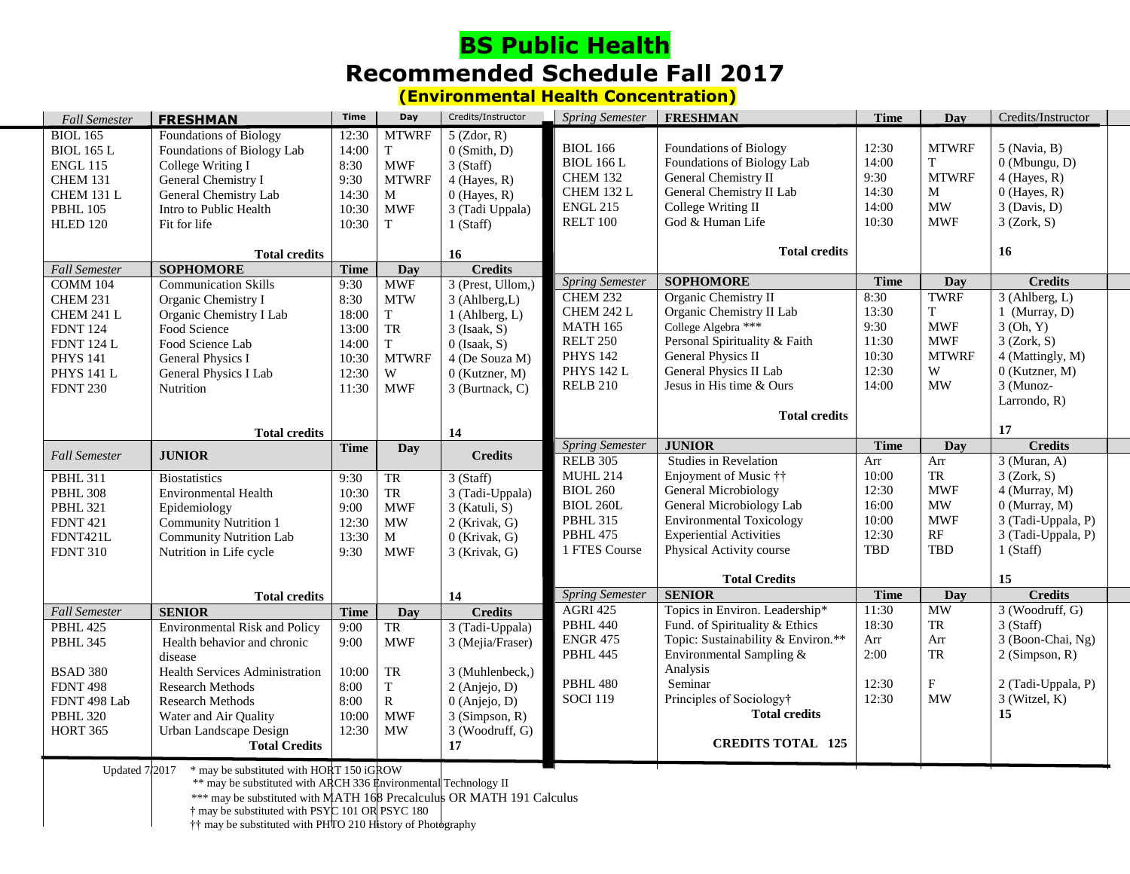## **BS Public Health Recommended Schedule Fall 2017 (Environmental Health Concentration)**

| <b>Fall Semester</b> | <b>FRESHMAN</b>                                                       | <b>Time</b> | Day                       | Credits/Instructor | <b>Spring Semester</b> | <b>FRESHMAN</b>                    | <b>Time</b> | Day           | Credits/Instructor |  |
|----------------------|-----------------------------------------------------------------------|-------------|---------------------------|--------------------|------------------------|------------------------------------|-------------|---------------|--------------------|--|
| <b>BIOL 165</b>      | <b>Foundations of Biology</b>                                         | 12:30       | <b>MTWRF</b>              | $5$ (Zdor, R)      |                        |                                    |             |               |                    |  |
| <b>BIOL 165 L</b>    | Foundations of Biology Lab                                            | 14:00       | T                         | $0$ (Smith, D)     | <b>BIOL 166</b>        | <b>Foundations of Biology</b>      | 12:30       | <b>MTWRF</b>  | 5 (Navia, B)       |  |
| <b>ENGL 115</b>      | College Writing I                                                     | 8:30        | <b>MWF</b>                | $3$ (Staff)        | <b>BIOL 166 L</b>      | Foundations of Biology Lab         | 14:00       | T             | $0$ (Mbungu, D)    |  |
| <b>CHEM 131</b>      | General Chemistry I                                                   | 9:30        | <b>MTWRF</b>              | $4$ (Hayes, R)     | <b>CHEM 132</b>        | General Chemistry II               | 9:30        | <b>MTWRF</b>  | 4 (Hayes, R)       |  |
| <b>CHEM 131 L</b>    | General Chemistry Lab                                                 | 14:30       | $\mathbf M$               | $0$ (Hayes, R)     | CHEM 132 L             | General Chemistry II Lab           | 14:30       | M             | $0$ (Hayes, R)     |  |
| <b>PBHL 105</b>      | Intro to Public Health                                                | 10:30       | $\ensuremath{\text{MWF}}$ | 3 (Tadi Uppala)    | <b>ENGL 215</b>        | College Writing II                 | 14:00       | <b>MW</b>     | $3$ (Davis, D)     |  |
| <b>HLED 120</b>      | Fit for life                                                          | 10:30       | T                         | $1$ (Staff)        | <b>RELT 100</b>        | God & Human Life                   | 10:30       | <b>MWF</b>    | $3$ (Zork, S)      |  |
|                      |                                                                       |             |                           |                    |                        |                                    |             |               |                    |  |
|                      | <b>Total credits</b>                                                  |             |                           | 16                 |                        | <b>Total credits</b>               |             |               | 16                 |  |
| <b>Fall Semester</b> | <b>SOPHOMORE</b>                                                      | <b>Time</b> | Day                       | <b>Credits</b>     |                        |                                    |             |               |                    |  |
| COMM 104             | Communication Skills                                                  | 9:30        | <b>MWF</b>                | 3 (Prest, Ullom,)  | <b>Spring Semester</b> | <b>SOPHOMORE</b>                   | <b>Time</b> | Day           | <b>Credits</b>     |  |
| <b>CHEM 231</b>      | Organic Chemistry I                                                   | 8:30        | <b>MTW</b>                | 3 (Ahlberg,L)      | <b>CHEM 232</b>        | Organic Chemistry II               | 8:30        | <b>TWRF</b>   | $3$ (Ahlberg, L)   |  |
| CHEM 241 L           | Organic Chemistry I Lab                                               | 18:00       | T                         | 1 (Ahlberg, L)     | CHEM 242 L             | Organic Chemistry II Lab           | 13:30       | T             | 1 (Murray, $D$ )   |  |
| <b>FDNT 124</b>      | Food Science                                                          | 13:00       | ${\rm TR}$                | $3$ (Isaak, S)     | <b>MATH 165</b>        | College Algebra ***                | 9:30        | <b>MWF</b>    | 3(Oh, Y)           |  |
| <b>FDNT 124 L</b>    | Food Science Lab                                                      | 14:00       | T                         | $0$ (Isaak, S)     | <b>RELT 250</b>        | Personal Spirituality & Faith      | 11:30       | <b>MWF</b>    | $3$ (Zork, S)      |  |
| <b>PHYS 141</b>      | General Physics I                                                     | 10:30       | <b>MTWRF</b>              | 4 (De Souza M)     | <b>PHYS 142</b>        | General Physics II                 | 10:30       | <b>MTWRF</b>  | 4 (Mattingly, M)   |  |
| <b>PHYS 141 L</b>    | General Physics I Lab                                                 | 12:30       | W                         | $0$ (Kutzner, M)   | <b>PHYS 142 L</b>      | General Physics II Lab             | 12:30       | W             | $0$ (Kutzner, M)   |  |
| <b>FDNT 230</b>      | Nutrition                                                             | 11:30       | <b>MWF</b>                | 3 (Burtnack, C)    | <b>RELB 210</b>        | Jesus in His time & Ours           | 14:00       | <b>MW</b>     | 3 (Munoz-          |  |
|                      |                                                                       |             |                           |                    |                        |                                    |             |               | Larrondo, R)       |  |
|                      |                                                                       |             |                           |                    |                        | <b>Total credits</b>               |             |               |                    |  |
|                      | <b>Total credits</b>                                                  |             |                           | 14                 |                        |                                    |             |               | 17                 |  |
| <b>Fall Semester</b> | <b>JUNIOR</b>                                                         | <b>Time</b> | <b>Day</b>                | <b>Credits</b>     | <b>Spring Semester</b> | <b>JUNIOR</b>                      | <b>Time</b> | Day           | <b>Credits</b>     |  |
|                      |                                                                       |             |                           |                    | <b>RELB 305</b>        | <b>Studies in Revelation</b>       | Arr         | Arr           | $3$ (Muran, A)     |  |
| <b>PBHL 311</b>      | <b>Biostatistics</b>                                                  | 9:30        | <b>TR</b>                 | $3$ (Staff)        | <b>MUHL 214</b>        | Enjoyment of Music ††              | 10:00       | ${\rm TR}$    | $3$ (Zork, S)      |  |
| <b>PBHL 308</b>      | <b>Environmental Health</b>                                           | 10:30       | <b>TR</b>                 | 3 (Tadi-Uppala)    | <b>BIOL 260</b>        | General Microbiology               | 12:30       | <b>MWF</b>    | 4 (Murray, M)      |  |
| <b>PBHL 321</b>      | Epidemiology                                                          | 9:00        | <b>MWF</b>                | 3 (Katuli, S)      | <b>BIOL 260L</b>       | General Microbiology Lab           | 16:00       | <b>MW</b>     | $0$ (Murray, M)    |  |
| <b>FDNT 421</b>      | <b>Community Nutrition 1</b>                                          | 12:30       | MW                        | 2 (Krivak, G)      | <b>PBHL 315</b>        | <b>Environmental Toxicology</b>    | 10:00       | <b>MWF</b>    | 3 (Tadi-Uppala, P) |  |
| FDNT421L             | <b>Community Nutrition Lab</b>                                        | 13:30       | $\mathbf{M}$              | $0$ (Krivak, G)    | <b>PBHL 475</b>        | <b>Experiential Activities</b>     | 12:30       | $\mathbf{RF}$ | 3 (Tadi-Uppala, P) |  |
| <b>FDNT 310</b>      | Nutrition in Life cycle                                               | 9:30        | <b>MWF</b>                | 3 (Krivak, G)      | 1 FTES Course          | Physical Activity course           | TBD         | <b>TBD</b>    | $1$ (Staff)        |  |
|                      |                                                                       |             |                           |                    |                        | <b>Total Credits</b>               |             |               | 15                 |  |
|                      | <b>Total credits</b>                                                  |             |                           | 14                 | <b>Spring Semester</b> | <b>SENIOR</b>                      | <b>Time</b> | Day           | <b>Credits</b>     |  |
| <b>Fall Semester</b> | <b>SENIOR</b>                                                         | <b>Time</b> | Day                       | <b>Credits</b>     | <b>AGRI 425</b>        | Topics in Environ. Leadership*     | 11:30       | <b>MW</b>     | 3 (Woodruff, G)    |  |
| <b>PBHL 425</b>      | <b>Environmental Risk and Policy</b>                                  | 9:00        | <b>TR</b>                 | 3 (Tadi-Uppala)    | <b>PBHL 440</b>        | Fund. of Spirituality & Ethics     | 18:30       | TR            | 3 (Staff)          |  |
| <b>PBHL 345</b>      | Health behavior and chronic                                           | 9:00        | $\ensuremath{\text{MWF}}$ | 3 (Mejia/Fraser)   | <b>ENGR 475</b>        | Topic: Sustainability & Environ.** | Arr         | Arr           | 3 (Boon-Chai, Ng)  |  |
|                      | disease                                                               |             |                           |                    | <b>PBHL 445</b>        | Environmental Sampling &           | 2:00        | <b>TR</b>     | $2$ (Simpson, R)   |  |
| <b>BSAD 380</b>      | Health Services Administration                                        | 10:00       | ${\rm TR}$                | 3 (Muhlenbeck,)    |                        | Analysis                           |             |               |                    |  |
| <b>FDNT 498</b>      | <b>Research Methods</b>                                               | 8:00        | T                         | 2 (Anjejo, D)      | <b>PBHL 480</b>        | Seminar                            | 12:30       | $\mathbf{F}$  | 2 (Tadi-Uppala, P) |  |
| FDNT 498 Lab         | Research Methods                                                      | 8:00        | $\mathbf R$               | 0 (Anjejo, D)      | <b>SOCI 119</b>        | Principles of Sociology†           | 12:30       | <b>MW</b>     | $3$ (Witzel, K)    |  |
| <b>PBHL 320</b>      | Water and Air Quality                                                 | 10:00       | <b>MWF</b>                | $3$ (Simpson, R)   |                        | <b>Total credits</b>               |             |               | 15                 |  |
| <b>HORT 365</b>      | Urban Landscape Design                                                | 12:30       | MW                        | 3 (Woodruff, G)    |                        |                                    |             |               |                    |  |
|                      | <b>Total Credits</b>                                                  |             |                           | 17                 |                        | <b>CREDITS TOTAL 125</b>           |             |               |                    |  |
|                      |                                                                       |             |                           |                    |                        |                                    |             |               |                    |  |
| Updated 7/2017       | * may be substituted with HORT 150 iGROW                              |             |                           |                    |                        |                                    |             |               |                    |  |
|                      | ** may be substituted with ARCH 336 Environmental Technology II       |             |                           |                    |                        |                                    |             |               |                    |  |
|                      | *** may be substituted with MATH 168 Precalculus OR MATH 191 Calculus |             |                           |                    |                        |                                    |             |               |                    |  |

<sup>†</sup> may be substituted with PSYC 101 OR PSYC 180

<sup>††</sup> may be substituted with PHTO 210 History of Photography